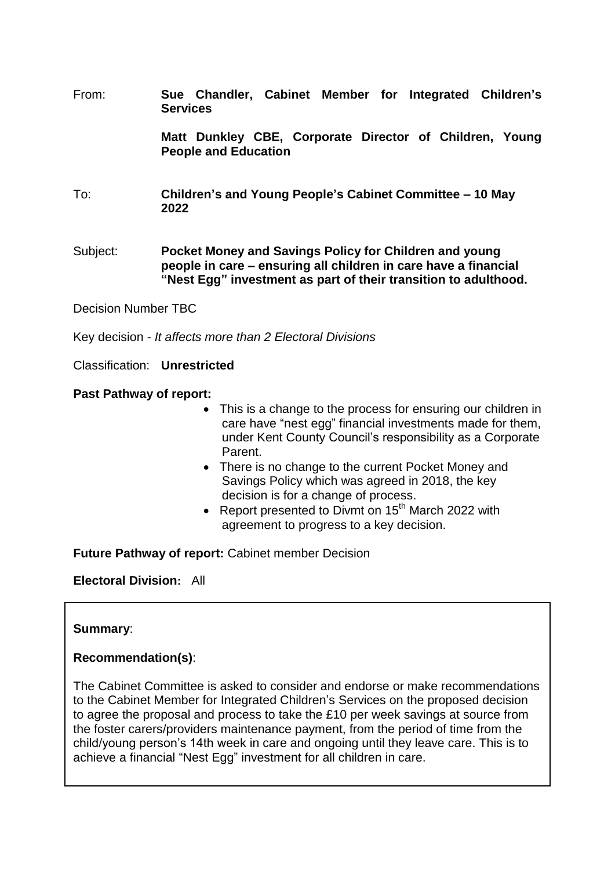From: **Sue Chandler, Cabinet Member for Integrated Children's Services**

> **Matt Dunkley CBE, Corporate Director of Children, Young People and Education**

- To: **Children's and Young People's Cabinet Committee – 10 May 2022**
- Subject: **Pocket Money and Savings Policy for Children and young people in care – ensuring all children in care have a financial "Nest Egg" investment as part of their transition to adulthood.**

Decision Number TBC

Key decision - *It affects more than 2 Electoral Divisions*

Classification: **Unrestricted**

**Past Pathway of report:** 

- This is a change to the process for ensuring our children in care have "nest egg" financial investments made for them, under Kent County Council's responsibility as a Corporate Parent.
- There is no change to the current Pocket Money and Savings Policy which was agreed in 2018, the key decision is for a change of process.
- Report presented to Divmt on 15<sup>th</sup> March 2022 with agreement to progress to a key decision.

**Future Pathway of report:** Cabinet member Decision

**Electoral Division:** All

#### **Summary**:

#### **Recommendation(s)**:

The Cabinet Committee is asked to consider and endorse or make recommendations to the Cabinet Member for Integrated Children's Services on the proposed decision to agree the proposal and process to take the £10 per week savings at source from the foster carers/providers maintenance payment, from the period of time from the child/young person's 14th week in care and ongoing until they leave care. This is to achieve a financial "Nest Egg" investment for all children in care.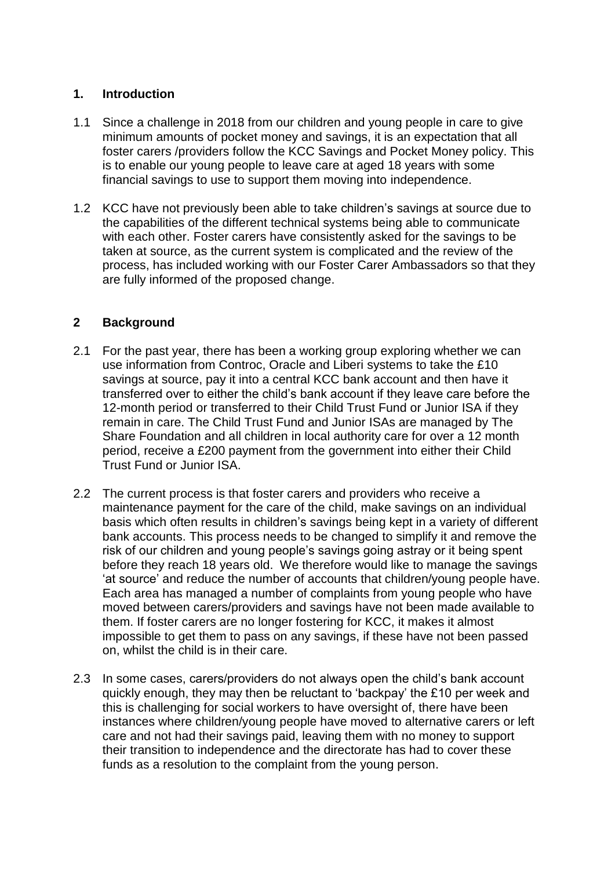#### **1. Introduction**

- 1.1 Since a challenge in 2018 from our children and young people in care to give minimum amounts of pocket money and savings, it is an expectation that all foster carers /providers follow the KCC Savings and Pocket Money policy. This is to enable our young people to leave care at aged 18 years with some financial savings to use to support them moving into independence.
- 1.2 KCC have not previously been able to take children's savings at source due to the capabilities of the different technical systems being able to communicate with each other. Foster carers have consistently asked for the savings to be taken at source, as the current system is complicated and the review of the process, has included working with our Foster Carer Ambassadors so that they are fully informed of the proposed change.

#### **2 Background**

- 2.1 For the past year, there has been a working group exploring whether we can use information from Controc, Oracle and Liberi systems to take the £10 savings at source, pay it into a central KCC bank account and then have it transferred over to either the child's bank account if they leave care before the 12-month period or transferred to their Child Trust Fund or Junior ISA if they remain in care. The Child Trust Fund and Junior ISAs are managed by The Share Foundation and all children in local authority care for over a 12 month period, receive a £200 payment from the government into either their Child Trust Fund or Junior ISA.
- 2.2 The current process is that foster carers and providers who receive a maintenance payment for the care of the child, make savings on an individual basis which often results in children's savings being kept in a variety of different bank accounts. This process needs to be changed to simplify it and remove the risk of our children and young people's savings going astray or it being spent before they reach 18 years old. We therefore would like to manage the savings 'at source' and reduce the number of accounts that children/young people have. Each area has managed a number of complaints from young people who have moved between carers/providers and savings have not been made available to them. If foster carers are no longer fostering for KCC, it makes it almost impossible to get them to pass on any savings, if these have not been passed on, whilst the child is in their care.
- 2.3 In some cases, carers/providers do not always open the child's bank account quickly enough, they may then be reluctant to 'backpay' the £10 per week and this is challenging for social workers to have oversight of, there have been instances where children/young people have moved to alternative carers or left care and not had their savings paid, leaving them with no money to support their transition to independence and the directorate has had to cover these funds as a resolution to the complaint from the young person.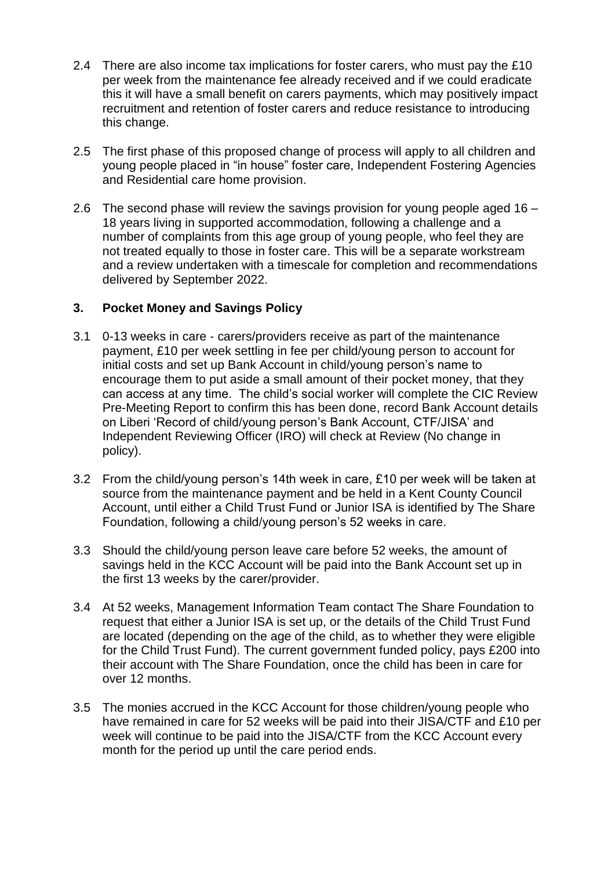- 2.4 There are also income tax implications for foster carers, who must pay the £10 per week from the maintenance fee already received and if we could eradicate this it will have a small benefit on carers payments, which may positively impact recruitment and retention of foster carers and reduce resistance to introducing this change.
- 2.5 The first phase of this proposed change of process will apply to all children and young people placed in "in house" foster care, Independent Fostering Agencies and Residential care home provision.
- 2.6 The second phase will review the savings provision for young people aged 16 18 years living in supported accommodation, following a challenge and a number of complaints from this age group of young people, who feel they are not treated equally to those in foster care. This will be a separate workstream and a review undertaken with a timescale for completion and recommendations delivered by September 2022.

## **3. Pocket Money and Savings Policy**

- 3.1 0-13 weeks in care carers/providers receive as part of the maintenance payment, £10 per week settling in fee per child/young person to account for initial costs and set up Bank Account in child/young person's name to encourage them to put aside a small amount of their pocket money, that they can access at any time. The child's social worker will complete the CIC Review Pre-Meeting Report to confirm this has been done, record Bank Account details on Liberi 'Record of child/young person's Bank Account, CTF/JISA' and Independent Reviewing Officer (IRO) will check at Review (No change in policy).
- 3.2 From the child/young person's 14th week in care, £10 per week will be taken at source from the maintenance payment and be held in a Kent County Council Account, until either a Child Trust Fund or Junior ISA is identified by The Share Foundation, following a child/young person's 52 weeks in care.
- 3.3 Should the child/young person leave care before 52 weeks, the amount of savings held in the KCC Account will be paid into the Bank Account set up in the first 13 weeks by the carer/provider.
- 3.4 At 52 weeks, Management Information Team contact The Share Foundation to request that either a Junior ISA is set up, or the details of the Child Trust Fund are located (depending on the age of the child, as to whether they were eligible for the Child Trust Fund). The current government funded policy, pays £200 into their account with The Share Foundation, once the child has been in care for over 12 months.
- 3.5 The monies accrued in the KCC Account for those children/young people who have remained in care for 52 weeks will be paid into their JISA/CTF and £10 per week will continue to be paid into the JISA/CTF from the KCC Account every month for the period up until the care period ends.